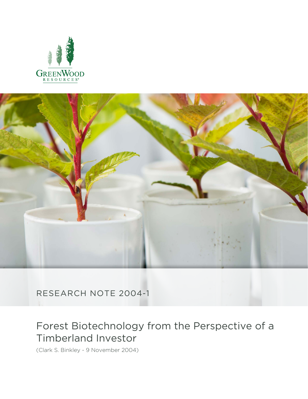



RESEARCH NOTE 2004-1

# Forest Biotechnology from the Perspective of a Timberland Investor

(Clark S. Binkley - 9 November 2004)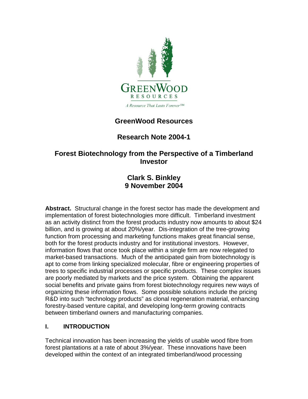

# **GreenWood Resources**

# **Research Note 2004-1**

## **Forest Biotechnology from the Perspective of a Timberland Investor**

## **Clark S. Binkley 9 November 2004**

**Abstract.** Structural change in the forest sector has made the development and implementation of forest biotechnologies more difficult. Timberland investment as an activity distinct from the forest products industry now amounts to about \$24 billion, and is growing at about 20%/year. Dis-integration of the tree-growing function from processing and marketing functions makes great financial sense, both for the forest products industry and for institutional investors. However, information flows that once took place within a single firm are now relegated to market-based transactions. Much of the anticipated gain from biotechnology is apt to come from linking specialized molecular, fibre or engineering properties of trees to specific industrial processes or specific products. These complex issues are poorly mediated by markets and the price system. Obtaining the apparent social benefits and private gains from forest biotechnology requires new ways of organizing these information flows. Some possible solutions include the pricing R&D into such "technology products" as clonal regeneration material, enhancing forestry-based venture capital, and developing long-term growing contracts between timberland owners and manufacturing companies.

## **I. INTRODUCTION**

Technical innovation has been increasing the yields of usable wood fibre from forest plantations at a rate of about 3%/year. These innovations have been developed within the context of an integrated timberland/wood processing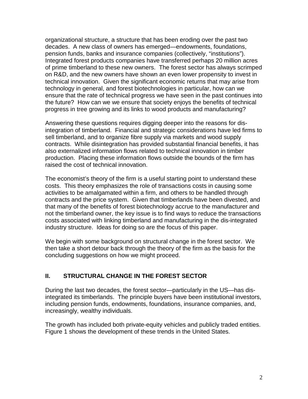organizational structure, a structure that has been eroding over the past two decades. A new class of owners has emerged—endowments, foundations, pension funds, banks and insurance companies (collectively, "institutions"). Integrated forest products companies have transferred perhaps 20 million acres of prime timberland to these new owners. The forest sector has always scrimped on R&D, and the new owners have shown an even lower propensity to invest in technical innovation. Given the significant economic returns that may arise from technology in general, and forest biotechnologies in particular, how can we ensure that the rate of technical progress we have seen in the past continues into the future? How can we we ensure that society enjoys the benefits of technical progress in tree growing and its links to wood products and manufacturing?

Answering these questions requires digging deeper into the reasons for disintegration of timberland. Financial and strategic considerations have led firms to sell timberland, and to organize fibre supply via markets and wood supply contracts. While disintegration has provided substantial financial benefits, it has also externalized information flows related to technical innovation in timber production. Placing these information flows outside the bounds of the firm has raised the cost of technical innovation.

The economist's theory of the firm is a useful starting point to understand these costs. This theory emphasizes the role of transactions costs in causing some activities to be amalgamated within a firm, and others to be handled through contracts and the price system. Given that timberlands have been divested, and that many of the benefits of forest biotechnology accrue to the manufacturer and not the timberland owner, the key issue is to find ways to reduce the transactions costs associated with linking timberland and manufacturing in the dis-integrated industry structure. Ideas for doing so are the focus of this paper.

We begin with some background on structural change in the forest sector. We then take a short detour back through the theory of the firm as the basis for the concluding suggestions on how we might proceed.

#### **II. STRUCTURAL CHANGE IN THE FOREST SECTOR**

During the last two decades, the forest sector—particularly in the US—has disintegrated its timberlands. The principle buyers have been institutional investors, including pension funds, endowments, foundations, insurance companies, and, increasingly, wealthy individuals.

The growth has included both private-equity vehicles and publicly traded entities. Figure 1 shows the development of these trends in the United States.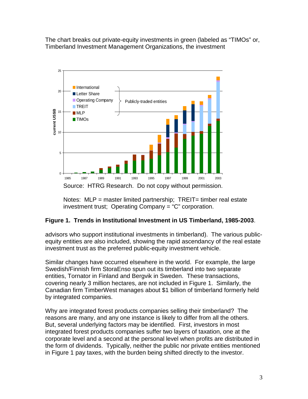The chart breaks out private-equity investments in green (labeled as "TIMOs" or, Timberland Investment Management Organizations, the investment



Notes:  $MLP$  = master limited partnership;  $TREIT =$  timber real estate investment trust; Operating Company = "C" corporation.

#### **Figure 1. Trends in Institutional Investment in US Timberland, 1985-2003**.

advisors who support institutional investments in timberland). The various publicequity entities are also included, showing the rapid ascendancy of the real estate investment trust as the preferred public-equity investment vehicle.

Similar changes have occurred elsewhere in the world. For example, the large Swedish/Finnish firm StoraEnso spun out its timberland into two separate entities, Tornator in Finland and Bergvik in Sweden. These transactions, covering nearly 3 million hectares, are not included in Figure 1. Similarly, the Canadian firm TimberWest manages about \$1 billion of timberland formerly held by integrated companies.

Why are integrated forest products companies selling their timberland? The reasons are many, and any one instance is likely to differ from all the others. But, several underlying factors may be identified. First, investors in most integrated forest products companies suffer two layers of taxation, one at the corporate level and a second at the personal level when profits are distributed in the form of dividends. Typically, neither the public nor private entities mentioned in Figure 1 pay taxes, with the burden being shifted directly to the investor.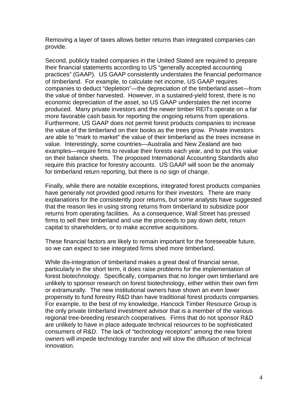Removing a layer of taxes allows better returns than integrated companies can provide.

Second, publicly traded companies in the United Stated are required to prepare their financial statements according to US "generally accepted accounting practices" (GAAP). US GAAP consistently understates the financial performance of timberland. For example, to calculate net income, US GAAP requires companies to deduct "depletion"—the depreciation of the timberland asset—from the value of timber harvested. However, in a sustained-yield forest, there is no economic depreciation of the asset, so US GAAP understates the net income produced. Many private investors and the newer timber REITs operate on a far more favorable cash basis for reporting the ongoing returns from operations. Furthermore, US GAAP does not permit forest products companies to increase the value of the timberland on their books as the trees grow. Private investors are able to "mark to market" the value of their timberland as the trees increase in value. Interestingly, some countries—Australia and New Zealand are two examples—require firms to revalue their forests each year, and to put this value on their balance sheets. The proposed International Accounting Standards also require this practice for forestry accounts. US GAAP will soon be the anomaly for timberland return reporting, but there is no sign of change.

Finally, while there are notable exceptions, integrated forest products companies have generally not provided good returns for their investors. There are many explanations for the consistently poor returns, but some analysts have suggested that the reason lies in using strong returns from timberland to subsidize poor returns from operating facilities. As a consequence, Wall Street has pressed firms to sell their timberland and use the proceeds to pay down debt, return capital to shareholders, or to make accretive acquisitions.

These financial factors are likely to remain important for the foreseeable future, so we can expect to see integrated firms shed more timberland.

While dis-integration of timberland makes a great deal of financial sense, particularly in the short term, it does raise problems for the implementation of forest biotechnology. Specifically, companies that no longer own timberland are unlikely to sponsor research on forest biotechnology, either within their own firm or extramurally. The new institutional owners have shown an even lower propensity to fund forestry R&D than have traditional forest products companies. For example, to the best of my knowledge, Hancock Timber Resource Group is the only private timberland investment advisor that is a member of the various regional tree-breeding research cooperatives. Firms that do not sponsor R&D are unlikely to have in place adequate technical resources to be sophisticated consumers of R&D. The lack of "technology receptors" among the new forest owners will impede technology transfer and will slow the diffusion of technical innovation.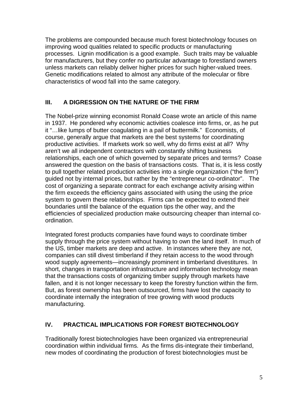The problems are compounded because much forest biotechnology focuses on improving wood qualities related to specific products or manufacturing processes. Lignin modification is a good example. Such traits may be valuable for manufacturers, but they confer no particular advantage to forestland owners unless markets can reliably deliver higher prices for such higher-valued trees. Genetic modifications related to almost any attribute of the molecular or fibre characteristics of wood fall into the same category.

## **III. A DIGRESSION ON THE NATURE OF THE FIRM**

The Nobel-prize winning economist Ronald Coase wrote an article of this name in 1937. He pondered why economic activities coalesce into firms, or, as he put it "…like lumps of butter coagulating in a pail of buttermilk." Economists, of course, generally argue that markets are the best systems for coordinating productive activities. If markets work so well, why do firms exist at all? Why aren't we all independent contractors with constantly shifting business relationships, each one of which governed by separate prices and terms? Coase answered the question on the basis of transactions costs. That is, it is less costly to pull together related production activities into a single organization ("the firm") guided not by internal prices, but rather by the "entrepreneur co-ordinator". The cost of organizing a separate contract for each exchange activity arising within the firm exceeds the efficiency gains associated with using the using the price system to govern these relationships. Firms can be expected to extend their boundaries until the balance of the equation tips the other way, and the efficiencies of specialized production make outsourcing cheaper than internal coordination.

Integrated forest products companies have found ways to coordinate timber supply through the price system without having to own the land itself. In much of the US, timber markets are deep and active. In instances where they are not, companies can still divest timberland if they retain access to the wood through wood supply agreements—increasingly prominent in timberland divestitures. In short, changes in transportation infrastructure and information technology mean that the transactions costs of organizing timber supply through markets have fallen, and it is not longer necessary to keep the forestry function within the firm. But, as forest ownership has been outsourced, firms have lost the capacity to coordinate internally the integration of tree growing with wood products manufacturing.

#### **IV. PRACTICAL IMPLICATIONS FOR FOREST BIOTECHNOLOGY**

Traditionally forest biotechnologies have been organized via entrepreneurial coordination within individual firms. As the firms dis-integrate their timberland, new modes of coordinating the production of forest biotechnologies must be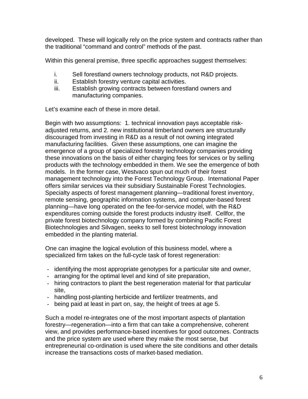developed. These will logically rely on the price system and contracts rather than the traditional "command and control" methods of the past.

Within this general premise, three specific approaches suggest themselves:

- i. Sell forestland owners technology products, not R&D projects.
- ii. Establish forestry venture capital activities.
- iii. Establish growing contracts between forestland owners and manufacturing companies.

Let's examine each of these in more detail.

Begin with two assumptions: 1. technical innovation pays acceptable riskadjusted returns, and 2. new institutional timberland owners are structurally discouraged from investing in R&D as a result of not owning integrated manufacturing facilities. Given these assumptions, one can imagine the emergence of a group of specialized forestry technology companies providing these innovations on the basis of either charging fees for services or by selling products with the technology embedded in them. We see the emergence of both models. In the former case, Westvaco spun out much of their forest management technology into the Forest Technology Group. International Paper offers similar services via their subsidiary Sustainable Forest Technologies. Specialty aspects of forest management planning—traditional forest inventory, remote sensing, geographic information systems, and computer-based forest planning—have long operated on the fee-for-service model, with the R&D expenditures coming outside the forest products industry itself. Cellfor, the private forest biotechnology company formed by combining Pacific Forest Biotechnologies and Silvagen, seeks to sell forest biotechnology innovation embedded in the planting material.

One can imagine the logical evolution of this business model, where a specialized firm takes on the full-cycle task of forest regeneration:

- identifying the most appropriate genotypes for a particular site and owner,
- arranging for the optimal level and kind of site preparation,
- hiring contractors to plant the best regeneration material for that particular site,
- handling post-planting herbicide and fertilizer treatments, and
- being paid at least in part on, say, the height of trees at age 5.

Such a model re-integrates one of the most important aspects of plantation forestry—regeneration—into a firm that can take a comprehensive, coherent view, and provides performance-based incentives for good outcomes. Contracts and the price system are used where they make the most sense, but entrepreneurial co-ordination is used where the site conditions and other details increase the transactions costs of market-based mediation.